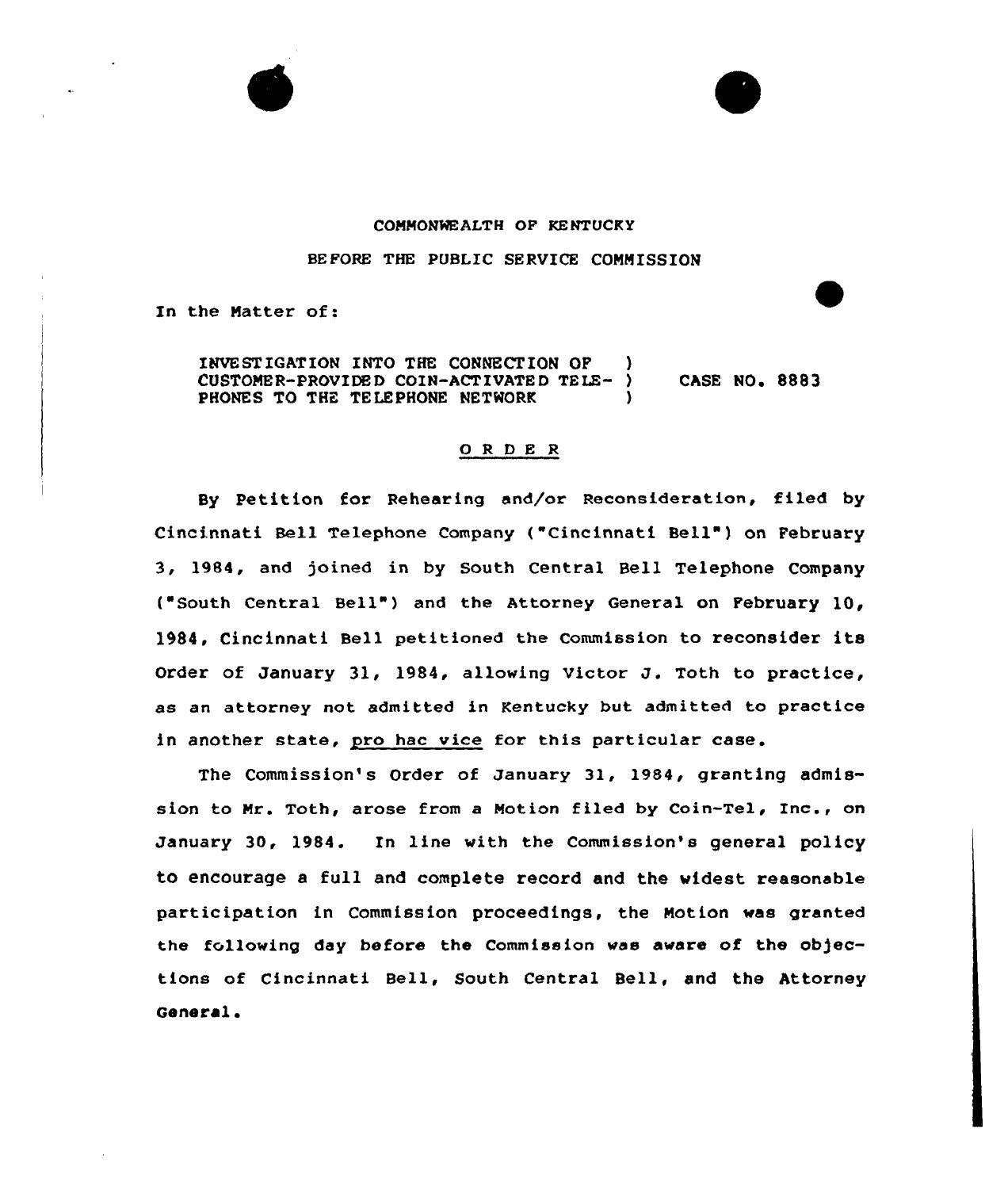

## COMMONWEALTH OF KENTUCKY

BEFORE THE PUBLIC SERVICE COMMISSION

In the Matter of:

INVESTIGATION INTO THE CONNECTION OF )<br>CUSTOMER-PROVIDED COIN-ACTIVATED TELE- ) CUSTOMER-PROVIDED COIN-ACTIVATED TELE- ) CASE NO. 8883 PHONES TO THE TELEPHONE NETWORK

## ORDER

By Petition for Rehearing and/or Reconsideration, filed by Cincinnati Bell Telephone Company ("Cincinnati Bell") on February 3, 1984, and joined in by South Central Bell Telephone Company ("South Central Bell" ) and the Attorney General on February 10, 1984, Cincinnati Bell petitioned the Commission to reconsider its Order of January 31, 1984, allowing Victor J. Toth to practice, as an attorney not admitted in Kentucky but admitted to practice in another state, pro hac vice for this particular case.

The Commission's Order of January 31, 1984, granting admission to Mr. Toth, arose from <sup>a</sup> Motion filed by Coin-Tel, Inc., on January 30, 1984. In line with the Commission's general policy to encourage a full and complete record and the widest reasonable participation in Commission proceedings, the Motion was granted the following day before the Commission was aware of the objections of Cincinnati Bell, South Central Bell, and the Attorney General.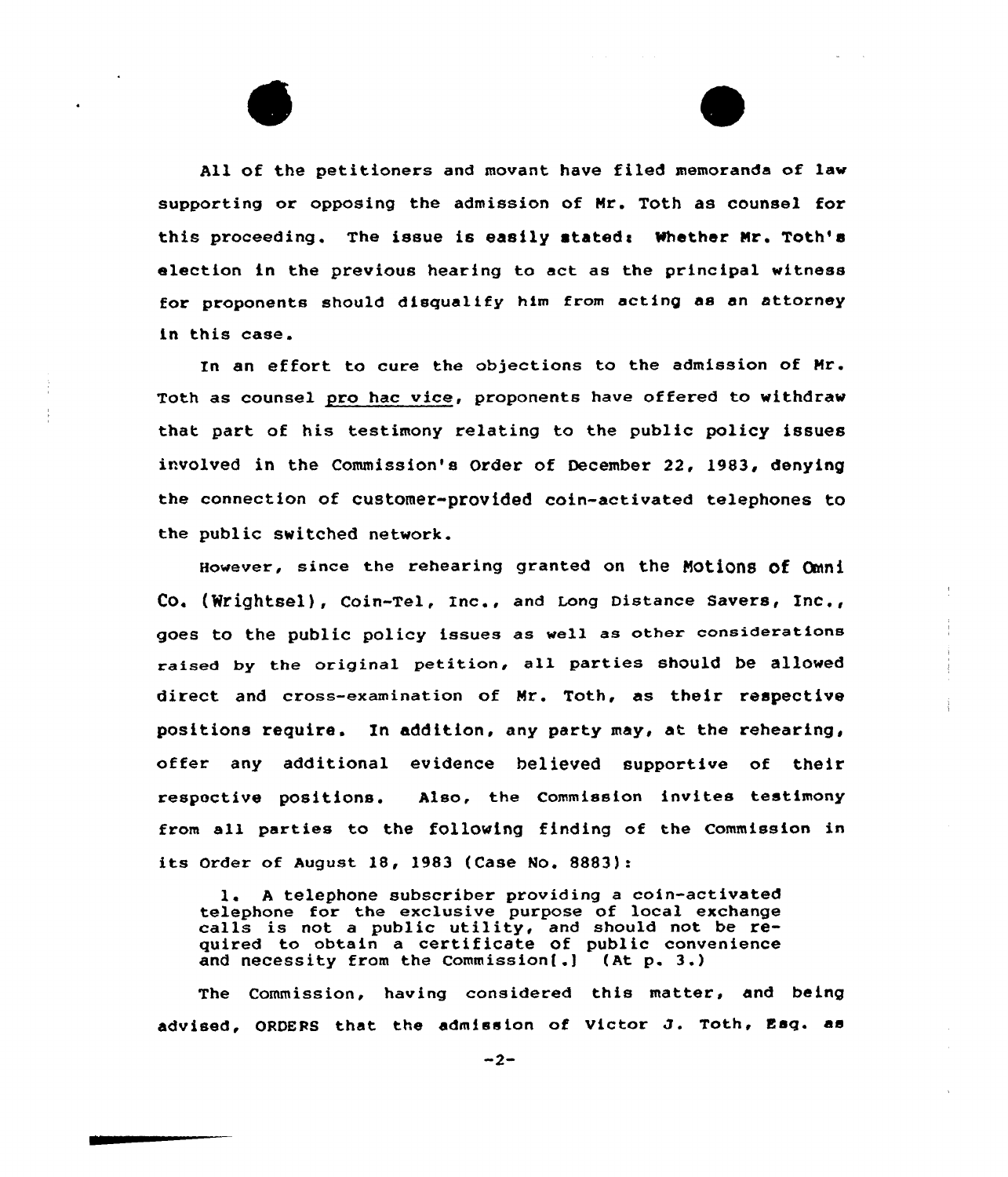All af the petitioners and movant have filed memoranda of law supporting or opposing the admission of Nr. Toth as counsel for this proceeding. The issue is easily stated: Whether Mr. Toth's election in the previous hearing to act as the principal witness for proponents should disqualify him from acting as an attorney in this case.

In an effort to cure the objections to the admission of Nr. Toth as counsel pro hac vice, proponents have offered to withdraw that part of his testimony relating to the public policy issues involved in the Commission's Order of December 22, 1983, denying the connection of customer-provided cain-activated telephones to the public switched network.

However, since the rehearing granted on the Motions of Omni Co. (Wrightsel), Coin-Tel, Inc., and Long Distance Savers, Inc., goes to the public policy issues as well as other considerations raised by the original petition, all parties should be allowed direct and cross-examination of Nr. Toth, as their respective positions require. Xn addition, any party may, at the rehearing, offer any additional evidence believed supportive of their respective pasitions. Also, the Commission invites testimony from all parties to the following finding of the Commission in its Order of August 18, 1983 (Case No. 8883):

l. <sup>A</sup> telephone subscriber providing <sup>a</sup> coin-activated telephone for the exclusive purpose of local exchange calls is not <sup>a</sup> public utility, and should not be required to obtain a certificate of public convenience and necessity from the Commission(.j (At p. 3.)

The Commission, having considered this matter, and being advised, ORDEP5 that the admission of victor J. Toth, Esq. as

 $-2-$